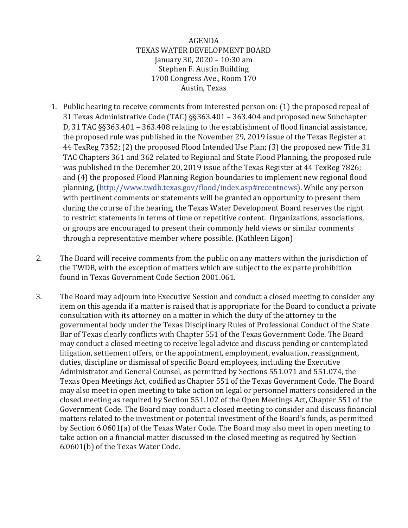## AGENDA TEXAS WATER DEVELOPMENT BOARD January 30, 2020 – 10:30 am Stephen F. Austin Building 1700 Congress Ave., Room 170 Austin, Texas

- 1. Public hearing to receive comments from interested person on: (1) the proposed repeal of 31 Texas Administrative Code (TAC) §§363.401 – 363.404 and proposed new Subchapter D, 31 TAC §§363.401 – 363.408 relating to the establishment of flood financial assistance, the proposed rule was published in the November 29, 2019 issue of the Texas Register at 44 TexReg 7352; (2) the proposed Flood Intended Use Plan; (3) the proposed new Title 31 TAC Chapters 361 and 362 related to Regional and State Flood Planning, the proposed rule was published in the December 20, 2019 issue of the Texas Register at 44 TexReg 7826; and (4) the proposed Flood Planning Region boundaries to implement new regional flood planning, [\(http://www.twdb.texas.gov/flood/index.asp#recentnews\)](http://www.twdb.texas.gov/flood/index.asp#recentnews). While any person with pertinent comments or statements will be granted an opportunity to present them during the course of the hearing, the Texas Water Development Board reserves the right to restrict statements in terms of time or repetitive content. Organizations, associations, or groups are encouraged to present their commonly held views or similar comments through a representative member where possible. (Kathleen Ligon)
- 2. The Board will receive comments from the public on any matters within the jurisdiction of the TWDB, with the exception of matters which are subject to the ex parte prohibition found in Texas Government Code Section 2001.061.
- 3. The Board may adjourn into Executive Session and conduct a closed meeting to consider any item on this agenda if a matter is raised that is appropriate for the Board to conduct a private consultation with its attorney on a matter in which the duty of the attorney to the governmental body under the Texas Disciplinary Rules of Professional Conduct of the State Bar of Texas clearly conflicts with Chapter 551 of the Texas Government Code. The Board may conduct a closed meeting to receive legal advice and discuss pending or contemplated litigation, settlement offers, or the appointment, employment, evaluation, reassignment, duties, discipline or dismissal of specific Board employees, including the Executive Administrator and General Counsel, as permitted by Sections 551.071 and 551.074, the Texas Open Meetings Act, codified as Chapter 551 of the Texas Government Code. The Board may also meet in open meeting to take action on legal or personnel matters considered in the closed meeting as required by Section 551.102 of the Open Meetings Act, Chapter 551 of the Government Code. The Board may conduct a closed meeting to consider and discuss financial matters related to the investment or potential investment of the Board's funds, as permitted by Section 6.0601(a) of the Texas Water Code. The Board may also meet in open meeting to take action on a financial matter discussed in the closed meeting as required by Section 6.0601(b) of the Texas Water Code.